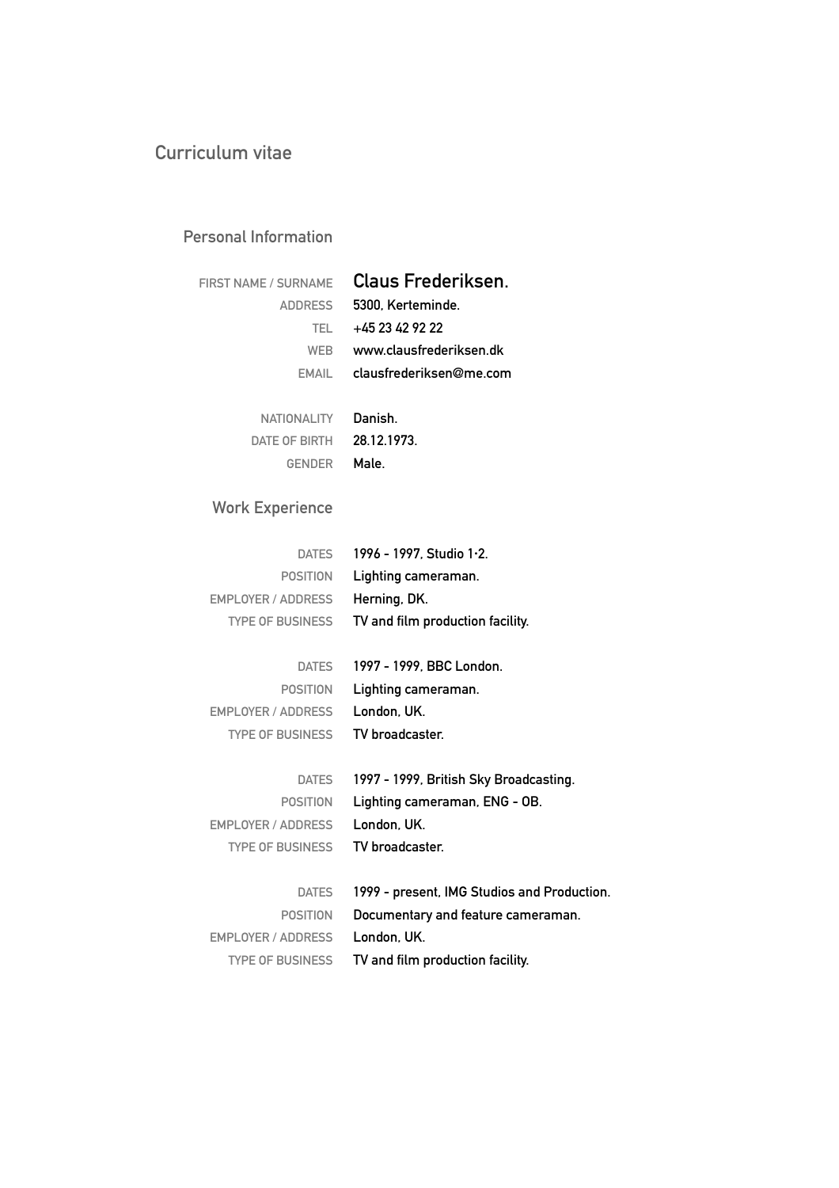#### **Personal Information**

| FIRST NAME / SURNAME Claus Frederiksen. |
|-----------------------------------------|
| 5300. Kerteminde.<br>ADDRESS            |
| +45 23 42 92 22                         |
| www.clausfrederiksen.dk                 |
| $EMAIL$ clausfrederiksen@me.com         |
|                                         |
| Danish<br>NATIONALITY                   |
|                                         |

**28.12.1973. DATE OF BIRTH Male. GENDER**

## **Work Experience**

| <b>DATES</b>              | 1996 - 1997, Studio 1.2.                    |
|---------------------------|---------------------------------------------|
| <b>POSITION</b>           | Lighting cameraman.                         |
| <b>EMPLOYER / ADDRESS</b> | Herning, DK.                                |
| <b>TYPE OF BUSINESS</b>   | TV and film production facility.            |
|                           |                                             |
| <b>DATES</b>              | 1997 - 1999, BBC London.                    |
| <b>POSITION</b>           | Lighting cameraman.                         |
| <b>EMPLOYER / ADDRESS</b> | London, UK.                                 |
| <b>TYPE OF BUSINESS</b>   | TV broadcaster.                             |
|                           |                                             |
| <b>DATES</b>              | 1997 - 1999, British Sky Broadcasting.      |
| <b>POSITION</b>           | Lighting cameraman, ENG - OB.               |
| <b>EMPLOYER / ADDRESS</b> | London, UK.                                 |
| <b>TYPE OF BUSINESS</b>   | TV broadcaster.                             |
|                           |                                             |
| <b>DATES</b>              | 1999 - present, IMG Studios and Production. |
| <b>POSITION</b>           | Documentary and feature cameraman.          |
| <b>EMPLOYER / ADDRESS</b> | London, UK.                                 |
| <b>TYPE OF BUSINESS</b>   | TV and film production facility.            |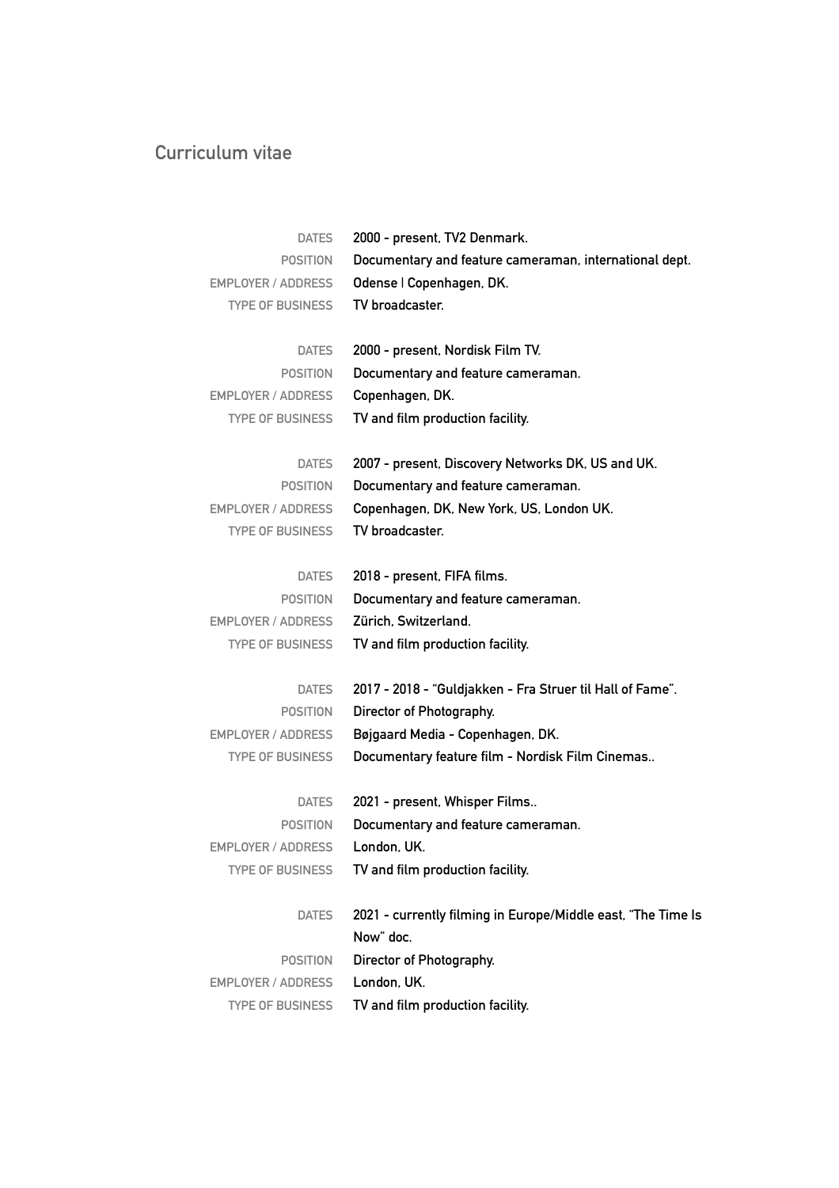| <b>DATES</b>              | 2000 - present, TV2 Denmark.                                 |
|---------------------------|--------------------------------------------------------------|
| <b>POSITION</b>           | Documentary and feature cameraman, international dept.       |
| <b>EMPLOYER / ADDRESS</b> | Odense   Copenhagen, DK.                                     |
| <b>TYPE OF BUSINESS</b>   | TV broadcaster.                                              |
|                           |                                                              |
| <b>DATES</b>              | 2000 - present, Nordisk Film TV.                             |
| <b>POSITION</b>           | Documentary and feature cameraman.                           |
| <b>EMPLOYER / ADDRESS</b> | Copenhagen, DK.                                              |
| <b>TYPE OF BUSINESS</b>   | TV and film production facility.                             |
|                           |                                                              |
| <b>DATES</b>              | 2007 - present, Discovery Networks DK, US and UK.            |
| <b>POSITION</b>           | Documentary and feature cameraman.                           |
| EMPLOYER / ADDRESS        | Copenhagen, DK, New York, US, London UK.                     |
| <b>TYPE OF BUSINESS</b>   | TV broadcaster.                                              |
| <b>DATES</b>              | 2018 - present, FIFA films.                                  |
| <b>POSITION</b>           | Documentary and feature cameraman.                           |
| <b>EMPLOYER / ADDRESS</b> | Zürich, Switzerland.                                         |
| <b>TYPE OF BUSINESS</b>   |                                                              |
|                           | TV and film production facility.                             |
| <b>DATES</b>              | 2017 - 2018 - "Guldjakken - Fra Struer til Hall of Fame".    |
| <b>POSITION</b>           | Director of Photography.                                     |
| EMPLOYER / ADDRESS        | Bøjgaard Media - Copenhagen, DK.                             |
| <b>TYPE OF BUSINESS</b>   | Documentary feature film - Nordisk Film Cinemas              |
|                           |                                                              |
| <b>DATES</b>              | 2021 - present, Whisper Films                                |
| <b>POSITION</b>           | Documentary and feature cameraman.                           |
| EMPLOYER / ADDRESS        | London, UK.                                                  |
| <b>TYPE OF BUSINESS</b>   | TV and film production facility.                             |
|                           |                                                              |
| <b>DATES</b>              | 2021 - currently filming in Europe/Middle east, "The Time Is |
|                           | Now" doc.                                                    |
| <b>POSITION</b>           | Director of Photography.                                     |
| EMPLOYER / ADDRESS        | London, UK.                                                  |
| <b>TYPE OF BUSINESS</b>   | TV and film production facility.                             |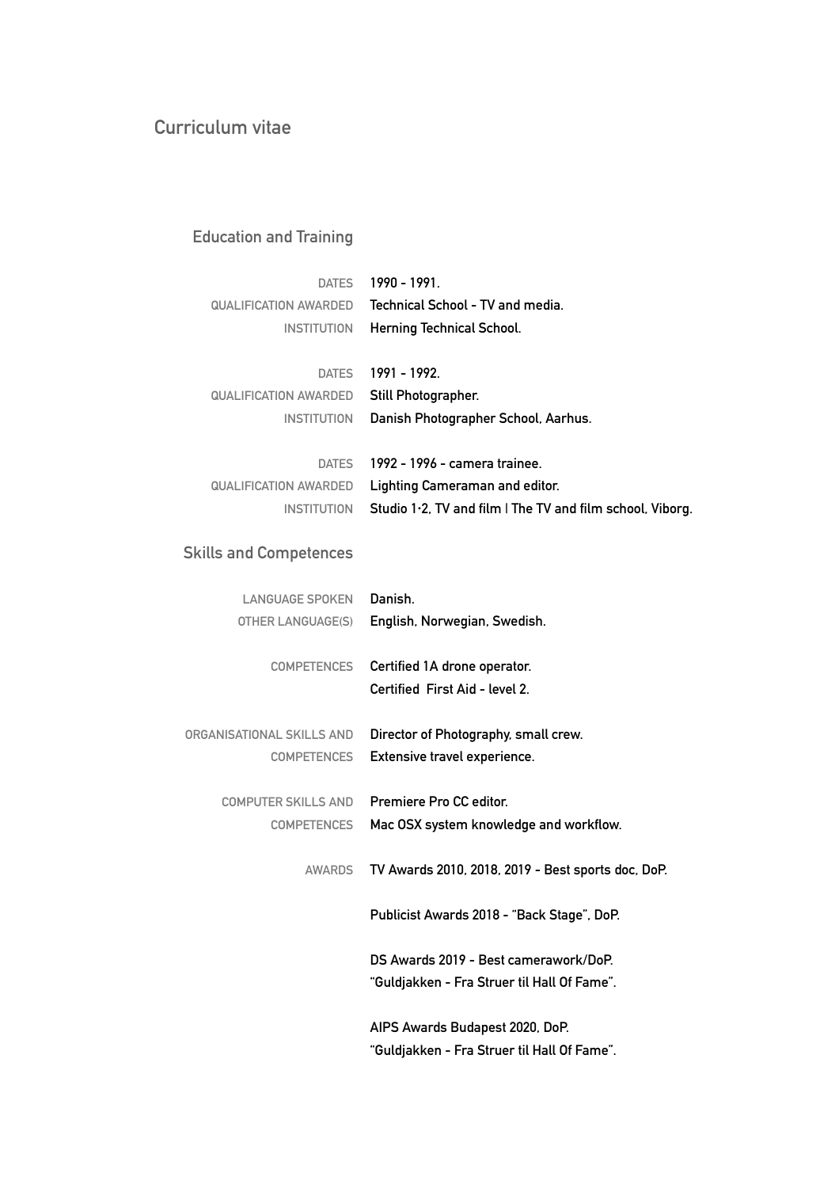## **Education and Training**

| <b>DATES</b>          | 1990 - 1991                                               |
|-----------------------|-----------------------------------------------------------|
| QUALIFICATION AWARDED | Technical School - TV and media.                          |
| <b>INSTITUTION</b>    | Herning Technical School.                                 |
|                       |                                                           |
| <b>DATES</b>          | 1991 - 1992.                                              |
| QUALIFICATION AWARDED | Still Photographer.                                       |
| <b>INSTITUTION</b>    | Danish Photographer School, Aarhus.                       |
|                       |                                                           |
| <b>DATES</b>          | 1992 - 1996 - camera trainee.                             |
| QUALIFICATION AWARDED | Lighting Cameraman and editor.                            |
| <b>INSTITUTION</b>    | Studio 1.2, TV and film I The TV and film school, Viborg. |

## **Skills and Competences**

| LANGUAGE SPOKEN            | Danish.                                                        |
|----------------------------|----------------------------------------------------------------|
| OTHER LANGUAGE(S)          | English, Norwegian, Swedish.                                   |
| <b>COMPETENCES</b>         | Certified 1A drone operator.<br>Certified First Aid - level 2. |
| ORGANISATIONAL SKILLS AND  | Director of Photography, small crew.                           |
| <b>COMPETENCES</b>         | Extensive travel experience.                                   |
| <b>COMPUTER SKILLS AND</b> | Premiere Pro CC editor.                                        |
| <b>COMPETENCES</b>         | Mac OSX system knowledge and workflow.                         |
| AWARDS                     | TV Awards 2010, 2018, 2019 - Best sports doc, DoP.             |
|                            | Publicist Awards 2018 - "Back Stage", DoP.                     |
|                            | DS Awards 2019 - Best camerawork/DoP.                          |
|                            | "Guldjakken - Fra Struer til Hall Of Fame".                    |
|                            | AIPS Awards Budapest 2020, DoP.                                |
|                            | "Guldjakken - Fra Struer til Hall Of Fame".                    |